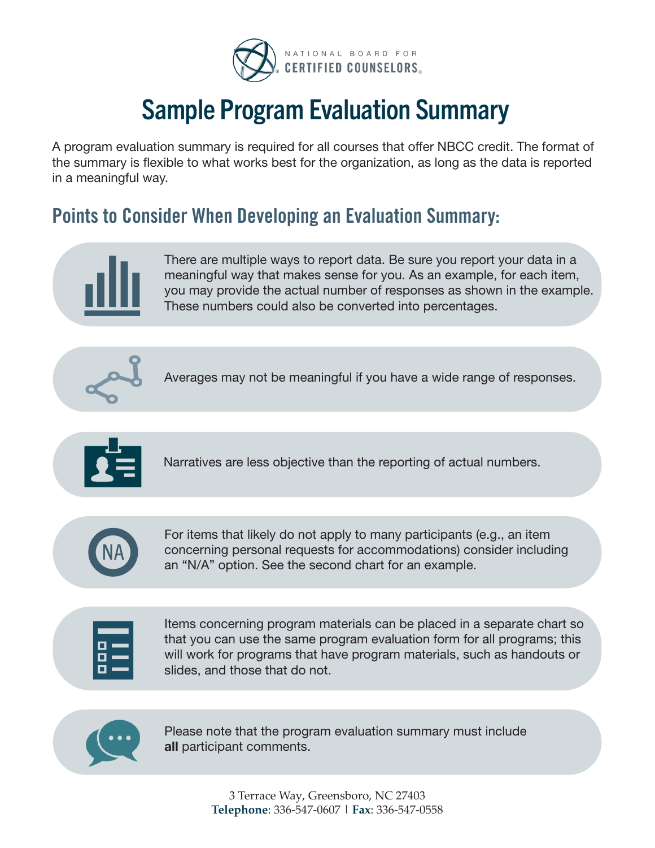

# Sample Program Evaluation Summary

A program evaluation summary is required for all courses that offer NBCC credit. The format of the summary is flexible to what works best for the organization, as long as the data is reported in a meaningful way.

# **Points to Consider When Developing an Evaluation Summary:**



There are multiple ways to report data. Be sure you report your data in a meaningful way that makes sense for you. As an example, for each item, you may provide the actual number of responses as shown in the example. These numbers could also be converted into percentages.



Averages may not be meaningful if you have a wide range of responses.



Narratives are less objective than the reporting of actual numbers.



For items that likely do not apply to many participants (e.g., an item concerning personal requests for accommodations) consider including an "N/A" option. See the second chart for an example.

Items concerning program materials can be placed in a separate chart so that you can use the same program evaluation form for all programs; this will work for programs that have program materials, such as handouts or slides, and those that do not.



Please note that the program evaluation summary must include all participant comments.